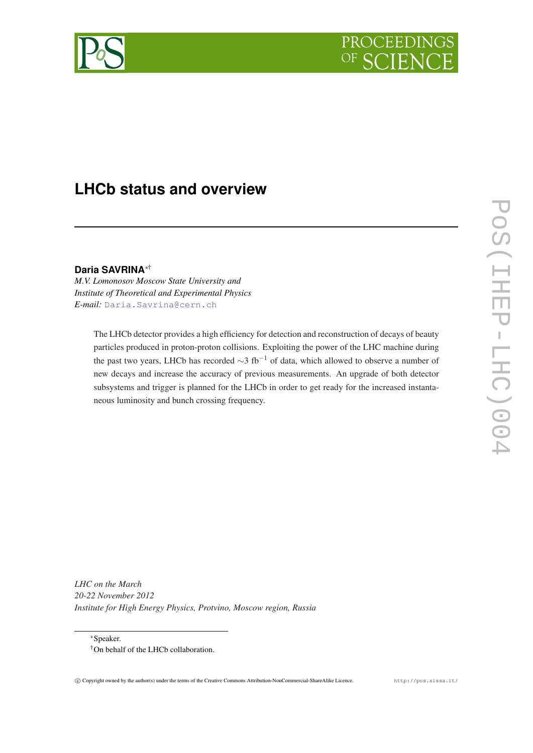

# **LHCb status and overview**

**Daria SAVRINA**∗†

*M.V. Lomonosov Moscow State University and Institute of Theoretical and Experimental Physics E-mail:* [Daria.Savrina@cern.ch](mailto:Daria.Savrina@cern.ch)

> The LHCb detector provides a high efficiency for detection and reconstruction of decays of beauty particles produced in proton-proton collisions. Exploiting the power of the LHC machine during the past two years, LHCb has recorded  $\sim$ 3 fb<sup>-1</sup> of data, which allowed to observe a number of new decays and increase the accuracy of previous measurements. An upgrade of both detector subsystems and trigger is planned for the LHCb in order to get ready for the increased instantaneous luminosity and bunch crossing frequency.

*LHC on the March 20-22 November 2012 Institute for High Energy Physics, Protvino, Moscow region, Russia*

<sup>∗</sup>Speaker. †On behalf of the LHCb collaboration.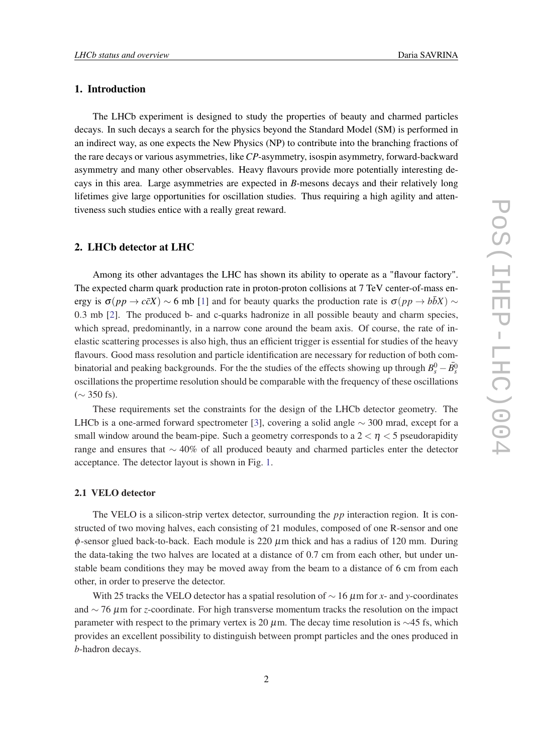### 1. Introduction

The LHCb experiment is designed to study the properties of beauty and charmed particles decays. In such decays a search for the physics beyond the Standard Model (SM) is performed in an indirect way, as one expects the New Physics (NP) to contribute into the branching fractions of the rare decays or various asymmetries, like *CP*-asymmetry, isospin asymmetry, forward-backward asymmetry and many other observables. Heavy flavours provide more potentially interesting decays in this area. Large asymmetries are expected in *B*-mesons decays and their relatively long lifetimes give large opportunities for oscillation studies. Thus requiring a high agility and attentiveness such studies entice with a really great reward.

#### 2. LHCb detector at LHC

Among its other advantages the LHC has shown its ability to operate as a "flavour factory". The expected charm quark production rate in proton-proton collisions at 7 TeV center-of-mass energy is  $\sigma(pp \to c\bar{c}X) \sim 6$  mb [\[1\]](#page-9-0) and for beauty quarks the production rate is  $\sigma(pp \to b\bar{b}X) \sim$ 0.3 mb [[2](#page-9-0)]. The produced b- and c-quarks hadronize in all possible beauty and charm species, which spread, predominantly, in a narrow cone around the beam axis. Of course, the rate of inelastic scattering processes is also high, thus an efficient trigger is essential for studies of the heavy flavours. Good mass resolution and particle identification are necessary for reduction of both combinatorial and peaking backgrounds. For the the studies of the effects showing up through  $B_s^0 - \bar{B_s^0}$ oscillations the propertime resolution should be comparable with the frequency of these oscillations  $($  ∼ 350 fs).

These requirements set the constraints for the design of the LHCb detector geometry. The LHCb is a one-armed forward spectrometer [[3](#page-9-0)], covering a solid angle  $\sim$  300 mrad, except for a small window around the beam-pipe. Such a geometry corresponds to a  $2 < \eta < 5$  pseudorapidity range and ensures that ∼ 40% of all produced beauty and charmed particles enter the detector acceptance. The detector layout is shown in Fig. [1](#page-2-0).

#### 2.1 VELO detector

The VELO is a silicon-strip vertex detector, surrounding the *pp* interaction region. It is constructed of two moving halves, each consisting of 21 modules, composed of one R-sensor and one  $\phi$ -sensor glued back-to-back. Each module is 220  $\mu$ m thick and has a radius of 120 mm. During the data-taking the two halves are located at a distance of 0.7 cm from each other, but under unstable beam conditions they may be moved away from the beam to a distance of 6 cm from each other, in order to preserve the detector.

With 25 tracks the VELO detector has a spatial resolution of ∼ 16 µm for *x*- and *y*-coordinates and ∼ 76 µm for *z*-coordinate. For high transverse momentum tracks the resolution on the impact parameter with respect to the primary vertex is 20  $\mu$ m. The decay time resolution is ∼45 fs, which provides an excellent possibility to distinguish between prompt particles and the ones produced in *b*-hadron decays.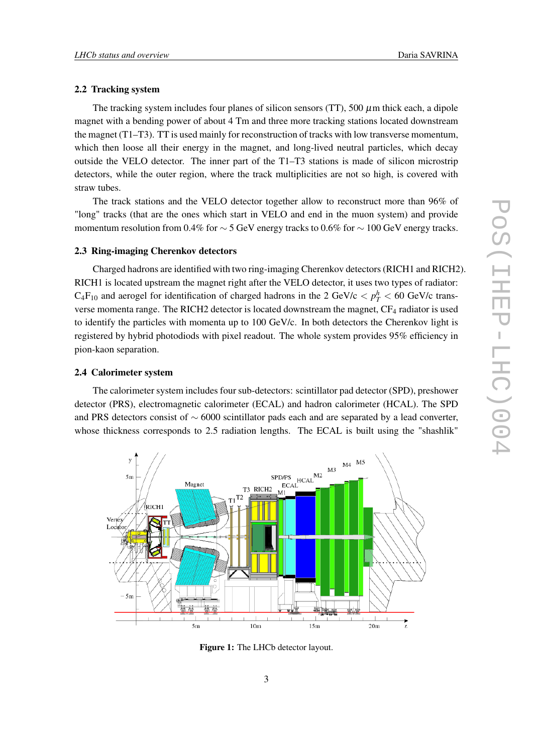#### <span id="page-2-0"></span>2.2 Tracking system

The tracking system includes four planes of silicon sensors  $(TT)$ , 500  $\mu$ m thick each, a dipole magnet with a bending power of about 4 Tm and three more tracking stations located downstream the magnet (T1–T3). TT is used mainly for reconstruction of tracks with low transverse momentum, which then loose all their energy in the magnet, and long-lived neutral particles, which decay outside the VELO detector. The inner part of the T1–T3 stations is made of silicon microstrip detectors, while the outer region, where the track multiplicities are not so high, is covered with straw tubes.

The track stations and the VELO detector together allow to reconstruct more than 96% of "long" tracks (that are the ones which start in VELO and end in the muon system) and provide momentum resolution from 0.4% for  $\sim$  5 GeV energy tracks to 0.6% for  $\sim$  100 GeV energy tracks.

#### 2.3 Ring-imaging Cherenkov detectors

Charged hadrons are identified with two ring-imaging Cherenkov detectors (RICH1 and RICH2). RICH1 is located upstream the magnet right after the VELO detector, it uses two types of radiator:  $C_4F_{10}$  and aerogel for identification of charged hadrons in the 2 GeV/c  $p_T^h$  < 60 GeV/c transverse momenta range. The RICH2 detector is located downstream the magnet, CF<sub>4</sub> radiator is used to identify the particles with momenta up to 100 GeV/c. In both detectors the Cherenkov light is registered by hybrid photodiods with pixel readout. The whole system provides 95% efficiency in pion-kaon separation.

#### 2.4 Calorimeter system

The calorimeter system includes four sub-detectors: scintillator pad detector (SPD), preshower detector (PRS), electromagnetic calorimeter (ECAL) and hadron calorimeter (HCAL). The SPD and PRS detectors consist of ∼ 6000 scintillator pads each and are separated by a lead converter, whose thickness corresponds to 2.5 radiation lengths. The ECAL is built using the "shashlik"



Figure 1: The LHCb detector layout.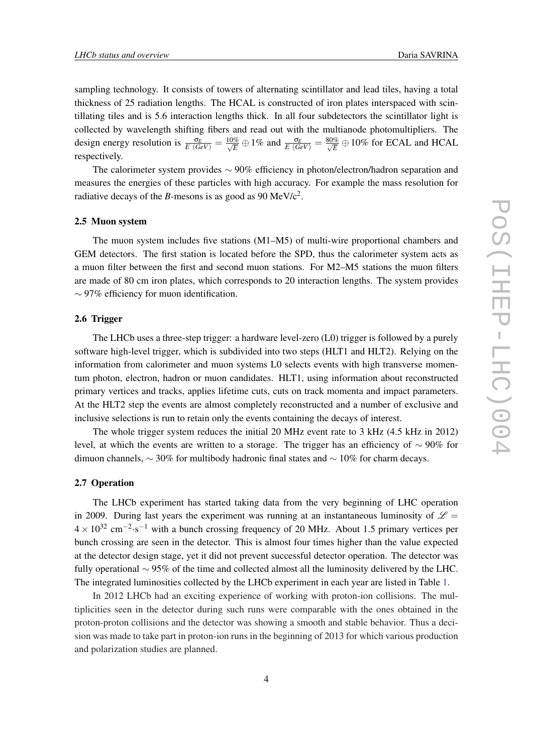sampling technology. It consists of towers of alternating scintillator and lead tiles, having a total thickness of 25 radiation lengths. The HCAL is constructed of iron plates interspaced with scintillating tiles and is 5.6 interaction lengths thick. In all four subdetectors the scintillator light is collected by wavelength shifting fibers and read out with the multianode photomultipliers. The design energy resolution is  $\frac{\sigma_E}{E(GeV)} = \frac{10\%}{\sqrt{E}} \oplus 1\%$  and  $\frac{\sigma_E}{E(GeV)} = \frac{80\%}{\sqrt{E}} \oplus 10\%$  for ECAL and HCAL respectively.

The calorimeter system provides ∼ 90% efficiency in photon/electron/hadron separation and measures the energies of these particles with high accuracy. For example the mass resolution for radiative decays of the *B*-mesons is as good as 90 MeV/ $c^2$ .

#### 2.5 Muon system

The muon system includes five stations (M1–M5) of multi-wire proportional chambers and GEM detectors. The first station is located before the SPD, thus the calorimeter system acts as a muon filter between the first and second muon stations. For M2–M5 stations the muon filters are made of 80 cm iron plates, which corresponds to 20 interaction lengths. The system provides ∼ 97% efficiency for muon identification.

#### 2.6 Trigger

The LHCb uses a three-step trigger: a hardware level-zero (L0) trigger is followed by a purely software high-level trigger, which is subdivided into two steps (HLT1 and HLT2). Relying on the information from calorimeter and muon systems L0 selects events with high transverse momentum photon, electron, hadron or muon candidates. HLT1, using information about reconstructed primary vertices and tracks, applies lifetime cuts, cuts on track momenta and impact parameters. At the HLT2 step the events are almost completely reconstructed and a number of exclusive and inclusive selections is run to retain only the events containing the decays of interest.

The whole trigger system reduces the initial 20 MHz event rate to 3 kHz (4.5 kHz in 2012) level, at which the events are written to a storage. The trigger has an efficiency of  $\sim$  90% for dimuon channels,  $\sim$  30% for multibody hadronic final states and  $\sim$  10% for charm decays.

#### 2.7 Operation

The LHCb experiment has started taking data from the very beginning of LHC operation in 2009. During last years the experiment was running at an instantaneous luminosity of  $\mathscr{L} =$  $4 \times 10^{32}$  cm<sup>-2</sup>⋅s<sup>-1</sup> with a bunch crossing frequency of 20 MHz. About 1.5 primary vertices per bunch crossing are seen in the detector. This is almost four times higher than the value expected at the detector design stage, yet it did not prevent successful detector operation. The detector was fully operational ∼ 95% of the time and collected almost all the luminosity delivered by the LHC. The integrated luminosities collected by the LHCb experiment in each year are listed in Table [1.](#page-4-0)

In 2012 LHCb had an exciting experience of working with proton-ion collisions. The multiplicities seen in the detector during such runs were comparable with the ones obtained in the proton-proton collisions and the detector was showing a smooth and stable behavior. Thus a decision was made to take part in proton-ion runs in the beginning of 2013 for which various production and polarization studies are planned.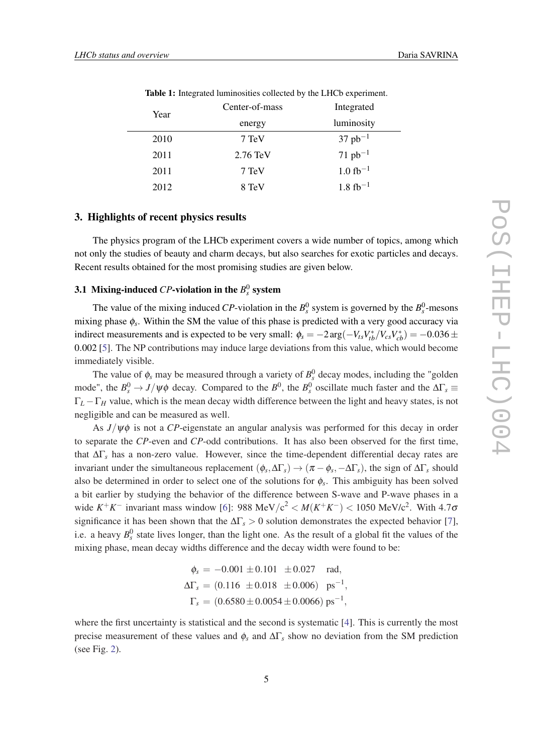<span id="page-4-0"></span>

|  | Year | Center-01-mass     | megrated              |
|--|------|--------------------|-----------------------|
|  |      | energy             | luminosity            |
|  | 2010 | 7 TeV              | $37 pb^{-1}$          |
|  | 2011 | $2.76 \text{ TeV}$ | $71 pb^{-1}$          |
|  | 2011 | 7 TeV              | $1.0 \text{ fb}^{-1}$ |
|  | 2012 | 8 TeV              | $1.8 \text{ fb}^{-1}$ |

Table 1: Integrated luminosities collected by the LHCb experiment.

 $C_{\text{c}}$  and  $C_{\text{c}}$  mass Integrated Integrated

#### 3. Highlights of recent physics results

The physics program of the LHCb experiment covers a wide number of topics, among which not only the studies of beauty and charm decays, but also searches for exotic particles and decays. Recent results obtained for the most promising studies are given below.

# 3.1 Mixing-induced  $CP$ -violation in the  $B_s^0$  system

The value of the mixing induced *CP*-violation in the  $B_s^0$  system is governed by the  $B_s^0$ -mesons mixing phase φ*<sup>s</sup>* . Within the SM the value of this phase is predicted with a very good accuracy via indirect measurements and is expected to be very small:  $\phi_s = -2 \arg(-V_{ts} V_{tb}^*/V_{cs} V_{cb}^*) = -0.036 \pm 0.036$ 0.002 [\[5\]](#page-9-0). The NP contributions may induce large deviations from this value, which would become immediately visible.

The value of  $\phi_s$  may be measured through a variety of  $B_s^0$  decay modes, including the "golden" mode", the  $B_s^0 \to J/\psi\phi$  decay. Compared to the  $B_s^0$ , the  $B_s^0$  oscillate much faster and the  $\Delta\Gamma_s \equiv$ Γ*<sup>L</sup>* −Γ*<sup>H</sup>* value, which is the mean decay width difference between the light and heavy states, is not negligible and can be measured as well.

As *J*/ψφ is not a *CP*-eigenstate an angular analysis was performed for this decay in order to separate the *CP*-even and *CP*-odd contributions. It has also been observed for the first time, that ∆Γ*<sup>s</sup>* has a non-zero value. However, since the time-dependent differential decay rates are invariant under the simultaneous replacement  $(\phi_s, \Delta\Gamma_s) \to (\pi - \phi_s, -\Delta\Gamma_s)$ , the sign of  $\Delta\Gamma_s$  should also be determined in order to select one of the solutions for  $\phi_s$ . This ambiguity has been solved a bit earlier by studying the behavior of the difference between S-wave and P-wave phases in a wide  $K^+K^-$  invariant mass window [[6](#page-9-0)]: 988 MeV/c<sup>2</sup> <  $M(K^+K^-)$  < 1050 MeV/c<sup>2</sup>. With 4.70 significance it has been shown that the  $\Delta\Gamma_s > 0$  solution demonstrates the expected behavior [\[7\]](#page-9-0), i.e. a heavy  $B_s^0$  state lives longer, than the light one. As the result of a global fit the values of the mixing phase, mean decay widths difference and the decay width were found to be:

$$
\phi_s = -0.001 \pm 0.101 \pm 0.027 \text{ rad},
$$
  
\n
$$
\Delta\Gamma_s = (0.116 \pm 0.018 \pm 0.006) \text{ ps}^{-1},
$$
  
\n
$$
\Gamma_s = (0.6580 \pm 0.0054 \pm 0.0066) \text{ ps}^{-1},
$$

where the first uncertainty is statistical and the second is systematic [[4](#page-9-0)]. This is currently the most precise measurement of these values and  $\phi_s$  and  $\Delta\Gamma_s$  show no deviation from the SM prediction (see Fig. [2](#page-5-0)).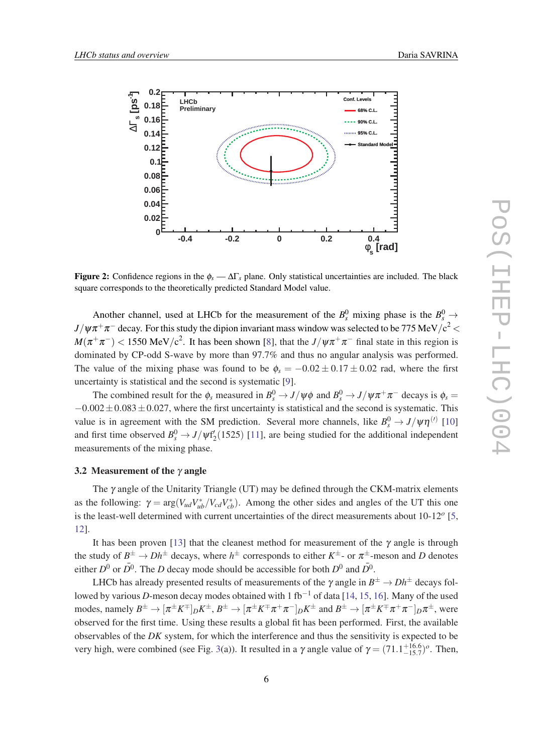<span id="page-5-0"></span>

**Figure 2:** Confidence regions in the  $\phi_s - \Delta\Gamma_s$  plane. Only statistical uncertainties are included. The black square corresponds to the theoretically predicted Standard Model value.

Another channel, used at LHCb for the measurement of the  $B_s^0$  mixing phase is the  $B_s^0 \rightarrow$  $J/\psi\pi^+\pi^-$  decay. For this study the dipion invariant mass window was selected to be 775 MeV/c $^2$   $<$  $M(\pi^+\pi^-)$  < 1550 MeV/c<sup>2</sup>. It has been shown [[8\]](#page-9-0), that the  $J/\psi\pi^+\pi^-$  final state in this region is dominated by CP-odd S-wave by more than 97.7% and thus no angular analysis was performed. The value of the mixing phase was found to be  $\phi_s = -0.02 \pm 0.17 \pm 0.02$  rad, where the first uncertainty is statistical and the second is systematic [\[9\]](#page-9-0).

The combined result for the  $\phi_s$  measured in  $B_s^0 \to J/\psi \phi$  and  $B_s^0 \to J/\psi \pi^+ \pi^-$  decays is  $\phi_s =$  $-0.002 \pm 0.083 \pm 0.027$ , where the first uncertainty is statistical and the second is systematic. This value is in agreement with the SM prediction. Several more channels, like  $B_s^0 \to J/\psi \eta^{(l)}$  [\[10](#page-9-0)] and first time observed  $B_s^0 \rightarrow J/\psi f'_2(1525)$  [[11\]](#page-9-0), are being studied for the additional independent measurements of the mixing phase.

#### 3.2 Measurement of the  $\gamma$  angle

The  $\gamma$  angle of the Unitarity Triangle (UT) may be defined through the CKM-matrix elements as the following:  $\gamma = \arg(V_{ud}V_{ub}^*/V_{cd}V_{cb}^*)$ . Among the other sides and angles of the UT this one is the least-well determined with current uncertainties of the direct measurements about 10-12*<sup>o</sup>* [[5](#page-9-0), [12](#page-9-0)].

It has been proven [\[13](#page-9-0)] that the cleanest method for measurement of the  $\gamma$  angle is through the study of  $B^{\pm} \to Dh^{\pm}$  decays, where  $h^{\pm}$  corresponds to either  $K^{\pm}$ - or  $\pi^{\pm}$ -meson and *D* denotes either  $D^0$  or  $\overline{D}{}^0$ . The *D* decay mode should be accessible for both  $D^0$  and  $\overline{D}{}^0$ .

LHCb has already presented results of measurements of the  $\gamma$  angle in  $B^\pm\to D h^\pm$  decays followed by various *D*-meson decay modes obtained with 1 fb−<sup>1</sup> of data [[14,](#page-9-0) [15](#page-9-0), [16](#page-9-0)]. Many of the used modes, namely  $B^\pm\to [\pi^\pm K^\mp]_D K^\pm$  ,  $B^\pm\to [\pi^\pm K^\mp \pi^+\pi^-]_D K^\pm$  and  $B^\pm\to [\pi^\pm K^\mp \pi^+\pi^-]_D \pi^\pm$ , were observed for the first time. Using these results a global fit has been performed. First, the available observables of the *DK* system, for which the interference and thus the sensitivity is expected to be very high, were combined (see Fig. [3\(](#page-6-0)a)). It resulted in a  $\gamma$  angle value of  $\gamma = (71.1^{+16.6}_{-15.7})^o$ . Then,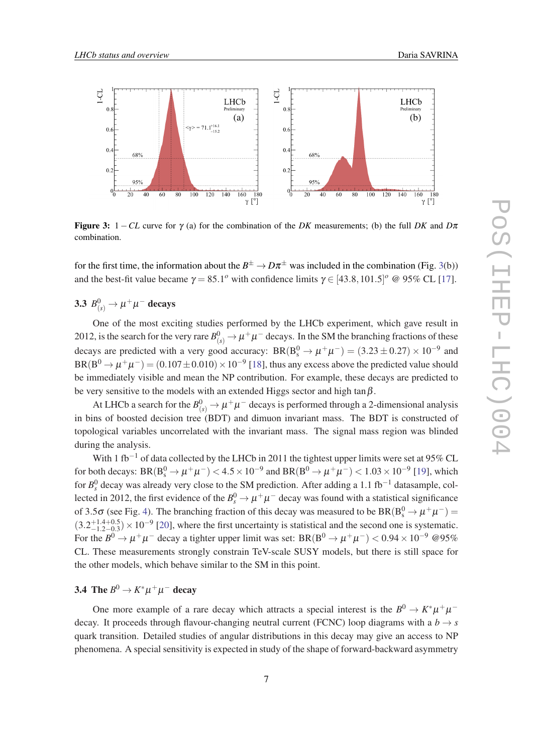<span id="page-6-0"></span>

**Figure 3:** 1 − *CL* curve for  $\gamma$  (a) for the combination of the *DK* measurements; (b) the full *DK* and  $D\pi$ combination.

for the first time, the information about the  $B^{\pm} \to D\pi^{\pm}$  was included in the combination (Fig. 3(b)) and the best-fit value became  $\gamma = 85.1^{\circ}$  with confidence limits  $\gamma \in [43.8, 101.5]^{\circ}$  @ 95% CL [\[17\]](#page-10-0).

3.3  $B^0_{(s)} \to \mu^+ \mu^-$  decays

One of the most exciting studies performed by the LHCb experiment, which gave result in 2012, is the search for the very rare  $B^0_{(s)}\to \mu^+\mu^-$  decays. In the SM the branching fractions of these decays are predicted with a very good accuracy:  $BR(B_s^0 \to \mu^+ \mu^-) = (3.23 \pm 0.27) \times 10^{-9}$  and  ${\rm BR(B^0 \to \mu^+ \mu^-)} = (0.107 \pm 0.010) \times 10^{-9}$  [[18](#page-10-0)], thus any excess above the predicted value should be immediately visible and mean the NP contribution. For example, these decays are predicted to be very sensitive to the models with an extended Higgs sector and high tan $\beta$ .

At LHCb a search for the  $B^0_{(s)} \to \mu^+ \mu^-$  decays is performed through a 2-dimensional analysis in bins of boosted decision tree (BDT) and dimuon invariant mass. The BDT is constructed of topological variables uncorrelated with the invariant mass. The signal mass region was blinded during the analysis.

With 1 fb<sup>-1</sup> of data collected by the LHCb in 2011 the tightest upper limits were set at 95% CL for both decays:  $BR(B_s^0 \to \mu^+\mu^-) < 4.5 \times 10^{-9}$  and  $BR(B^0 \to \mu^+\mu^-) < 1.03 \times 10^{-9}$  [\[19](#page-10-0)], which for *B*<sup>0</sup><sub>s</sub> decay was already very close to the SM prediction. After adding a 1.1 fb<sup>-1</sup> datasample, collected in 2012, the first evidence of the  $B_s^0 \to \mu^+ \mu^-$  decay was found with a statistical significance of 3.5 $\sigma$  (see Fig. [4\)](#page-7-0). The branching fraction of this decay was measured to be  $BR(B_s^0 \to \mu^+ \mu^-)$  =  $(3.2^{+1.4+0.5}_{-1.2-0.3}) \times 10^{-9}$  [[20\]](#page-10-0), where the first uncertainty is statistical and the second one is systematic. For the  $B^0 \to \mu^+\mu^-$  decay a tighter upper limit was set: BR(B<sup>0</sup>  $\to \mu^+\mu^-$ ) < 0.94 × 10<sup>-9</sup> @95% CL. These measurements strongly constrain TeV-scale SUSY models, but there is still space for the other models, which behave similar to the SM in this point.

## 3.4 The  $B^0 \to K^* \mu^+ \mu^-$  decay

One more example of a rare decay which attracts a special interest is the  $B^0 \to K^* \mu^+ \mu^$ decay. It proceeds through flavour-changing neutral current (FCNC) loop diagrams with a  $b \rightarrow s$ quark transition. Detailed studies of angular distributions in this decay may give an access to NP phenomena. A special sensitivity is expected in study of the shape of forward-backward asymmetry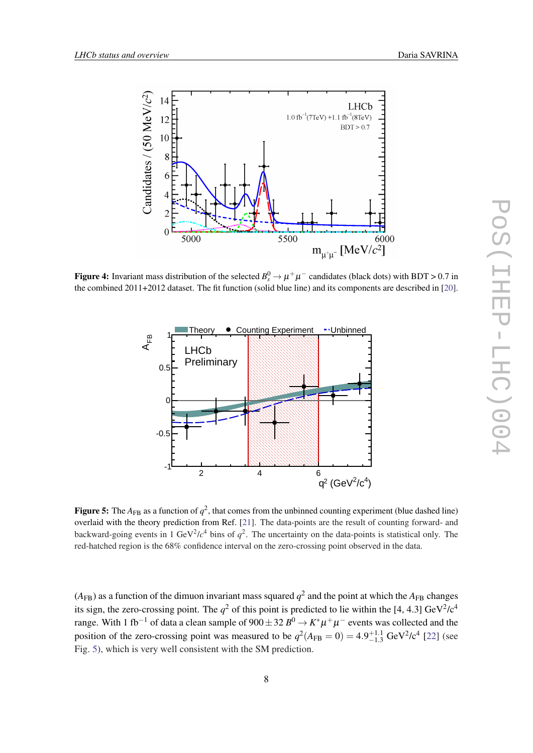<span id="page-7-0"></span>

Figure 4: Invariant mass distribution of the selected  $B_s^0 \to \mu^+\mu^-$  candidates (black dots) with BDT > 0.7 in the combined 2011+2012 dataset. The fit function (solid blue line) and its components are described in [\[20](#page-10-0)].



**Figure 5:** The  $A_{FB}$  as a function of  $q^2$ , that comes from the unbinned counting experiment (blue dashed line) overlaid with the theory prediction from Ref. [[21\]](#page-10-0). The data-points are the result of counting forward- and backward-going events in 1 GeV<sup>2</sup>/ $c<sup>4</sup>$  bins of  $q<sup>2</sup>$ . The uncertainty on the data-points is statistical only. The red-hatched region is the 68% confidence interval on the zero-crossing point observed in the data.

 $(A_{FB})$  as a function of the dimuon invariant mass squared  $q^2$  and the point at which the  $A_{FB}$  changes its sign, the zero-crossing point. The  $q^2$  of this point is predicted to lie within the [4, 4.3] GeV<sup>2</sup>/c<sup>4</sup> range. With 1 fb $^{-1}$  of data a clean sample of 900 $\pm$  32  $B^0$   $\to$   $K^* \mu^+ \mu^-$  events was collected and the position of the zero-crossing point was measured to be  $q^2(A_{FB} = 0) = 4.9^{+1.1}_{-1.3}$  GeV<sup>2</sup>/c<sup>4</sup> [[22](#page-10-0)] (see Fig. 5), which is very well consistent with the SM prediction.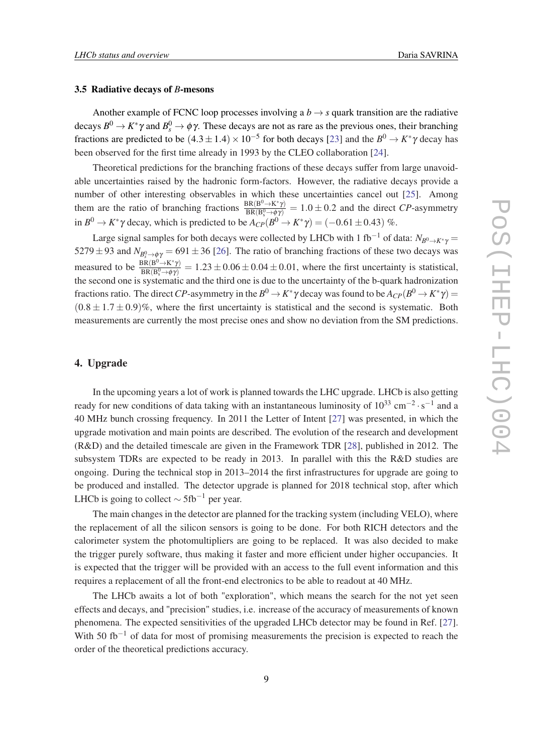#### 3.5 Radiative decays of *B*-mesons

Another example of FCNC loop processes involving a  $b \rightarrow s$  quark transition are the radiative decays  $B^0 \to K^* \gamma$  and  $B^0_s \to \phi \gamma$ . These decays are not as rare as the previous ones, their branching fractions are predicted to be  $(4.3 \pm 1.4) \times 10^{-5}$  for both decays [\[23](#page-10-0)] and the  $B^0 \to K^* \gamma$  decay has been observed for the first time already in 1993 by the CLEO collaboration [\[24](#page-10-0)].

Theoretical predictions for the branching fractions of these decays suffer from large unavoidable uncertainties raised by the hadronic form-factors. However, the radiative decays provide a number of other interesting observables in which these uncertainties cancel out [\[25](#page-10-0)]. Among them are the ratio of branching fractions  $\frac{BR(B^0 \to K^* \gamma)}{BR(B^0 \to \phi \gamma)}$  $\frac{\text{BR}(B^2 \to K \gamma)}{\text{BR}(B_s^0 \to \phi \gamma)} = 1.0 \pm 0.2$  and the direct *CP*-asymmetry in  $B^0 \to K^* \gamma$  decay, which is predicted to be  $A_{CP}(B^0 \to K^* \gamma) = (-0.61 \pm 0.43)$  %.

Large signal samples for both decays were collected by LHCb with 1 fb<sup>-1</sup> of data:  $N_{B^0\to K^*\gamma}$  = 5279  $\pm$  93 and  $N_{B_s^0 \to \phi \gamma}$  = 691  $\pm$  36 [\[26](#page-10-0)]. The ratio of branching fractions of these two decays was measured to be  $\frac{BR(B^0 \to K^* \gamma)}{BR(B^0 \to \phi \gamma)}$  $\frac{\text{BR}(B^2 \to K \gamma)}{\text{BR}(B_s^0 \to \phi \gamma)} = 1.23 \pm 0.06 \pm 0.04 \pm 0.01$ , where the first uncertainty is statistical, the second one is systematic and the third one is due to the uncertainty of the b-quark hadronization fractions ratio. The direct  $CP$ -asymmetry in the  $B^0\to K^*\gamma$  decay was found to be  $A_{CP}(B^0\to K^*\gamma)=$  $(0.8 \pm 1.7 \pm 0.9)\%$ , where the first uncertainty is statistical and the second is systematic. Both measurements are currently the most precise ones and show no deviation from the SM predictions.

#### 4. Upgrade

In the upcoming years a lot of work is planned towards the LHC upgrade. LHCb is also getting ready for new conditions of data taking with an instantaneous luminosity of  $10^{33}$  cm<sup>-2</sup> · s<sup>-1</sup> and a 40 MHz bunch crossing frequency. In 2011 the Letter of Intent [\[27\]](#page-10-0) was presented, in which the upgrade motivation and main points are described. The evolution of the research and development (R&D) and the detailed timescale are given in the Framework TDR [\[28\]](#page-10-0), published in 2012. The subsystem TDRs are expected to be ready in 2013. In parallel with this the R&D studies are ongoing. During the technical stop in 2013–2014 the first infrastructures for upgrade are going to be produced and installed. The detector upgrade is planned for 2018 technical stop, after which LHCb is going to collect  $\sim 5$ fb<sup>-1</sup> per year.

The main changes in the detector are planned for the tracking system (including VELO), where the replacement of all the silicon sensors is going to be done. For both RICH detectors and the calorimeter system the photomultipliers are going to be replaced. It was also decided to make the trigger purely software, thus making it faster and more efficient under higher occupancies. It is expected that the trigger will be provided with an access to the full event information and this requires a replacement of all the front-end electronics to be able to readout at 40 MHz.

The LHCb awaits a lot of both "exploration", which means the search for the not yet seen effects and decays, and "precision" studies, i.e. increase of the accuracy of measurements of known phenomena. The expected sensitivities of the upgraded LHCb detector may be found in Ref. [[27\]](#page-10-0). With 50 fb<sup>-1</sup> of data for most of promising measurements the precision is expected to reach the order of the theoretical predictions accuracy.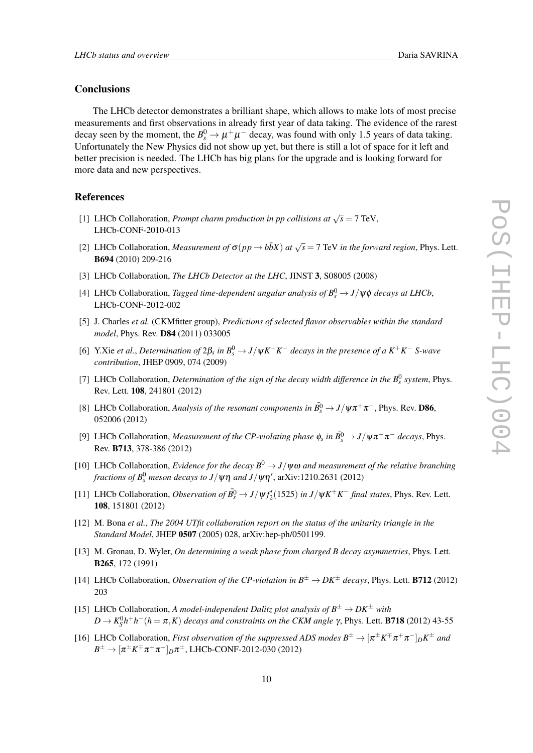#### <span id="page-9-0"></span>**Conclusions**

The LHCb detector demonstrates a brilliant shape, which allows to make lots of most precise measurements and first observations in already first year of data taking. The evidence of the rarest decay seen by the moment, the  $B_s^0 \to \mu^+ \mu^-$  decay, was found with only 1.5 years of data taking. Unfortunately the New Physics did not show up yet, but there is still a lot of space for it left and better precision is needed. The LHCb has big plans for the upgrade and is looking forward for more data and new perspectives.

#### References

- [1] LHCb Collaboration, *Prompt charm production in pp collisions at*  $\sqrt{s} = 7$  TeV, LHCb-CONF-2010-013
- [2] LHCb Collaboration, *Measurement of*  $\sigma(pp \to b\bar{b}X)$  *at*  $\sqrt{s} = 7$  TeV *in the forward region*, Phys. Lett. B694 (2010) 209-216
- [3] LHCb Collaboration, *The LHCb Detector at the LHC*, JINST 3, S08005 (2008)
- [4] LHCb Collaboration, *Tagged time-dependent angular analysis of*  $B_s^0 \rightarrow J/\psi \phi$  *decays at LHCb*, LHCb-CONF-2012-002
- [5] J. Charles *et al.* (CKMfitter group), *Predictions of selected flavor observables within the standard model*, Phys. Rev. D84 (2011) 033005
- [6] Y.Xie *et al.*, *Determination of* 2β*<sup>s</sup> in B*<sup>0</sup> *<sup>s</sup>* → *J*/ψ*K* <sup>+</sup>*K* <sup>−</sup> *decays in the presence of a K*+*K* <sup>−</sup> *S-wave contribution*, JHEP 0909, 074 (2009)
- [7] LHCb Collaboration, *Determination of the sign of the decay width difference in the*  $B_s^0$  system, Phys. Rev. Lett. 108, 241801 (2012)
- [8] LHCb Collaboration, *Analysis of the resonant components in*  $\bar{B}_s^0 \to J/\psi \pi^+ \pi^-$ , Phys. Rev. D86, 052006 (2012)
- [9] LHCb Collaboration, *Measurement of the CP-violating phase*  $\phi_s$  *in*  $\bar{B^0_s} \to J/\psi \pi^+ \pi^-$  *decays*, Phys. Rev. B713, 378-386 (2012)
- [10] LHCb Collaboration, *Evidence for the decay*  $B^0 \rightarrow J/\psi\omega$  *and measurement of the relative branching* fractions of  $B_s^0$  meson decays to  $J/\psi\eta$  and  $J/\psi\eta^\prime$ , arXiv:1210.2631 (2012)
- [11] LHCb Collaboration, *Observation of*  $\bar{B^0_s} \to J/\psi f'_2(1525)$  *in*  $J/\psi K^+ K^-$  *final states*, Phys. Rev. Lett. 108, 151801 (2012)
- [12] M. Bona *et al.*, *The 2004 UTfit collaboration report on the status of the unitarity triangle in the Standard Model*, JHEP 0507 (2005) 028, arXiv:hep-ph/0501199.
- [13] M. Gronau, D. Wyler, *On determining a weak phase from charged B decay asymmetries*, Phys. Lett. B265, 172 (1991)
- [14] LHCb Collaboration, *Observation of the CP-violation in*  $B^{\pm} \to DK^{\pm}$  *decays*, Phys. Lett. **B712** (2012) 203
- [15] LHCb Collaboration, *A model-independent Dalitz plot analysis of*  $B^{\pm} \rightarrow DK^{\pm}$  *with*  $D$  →  $K_S^0 h^+ h^-$  ( $h = π, K$ ) *decays and constraints on the CKM angle* γ, Phys. Lett. **B718** (2012) 43-55
- [16] LHCb Collaboration, *First observation of the suppressed ADS modes*  $B^{\pm} \to [\pi^{\pm} K^{\mp} \pi^+ \pi^-]_D K^{\pm}$  and  $B^\pm \to [\pi^\pm K^\mp \pi^+\pi^-]_D\pi^\pm$ , LHCb-CONF-2012-030 (2012)